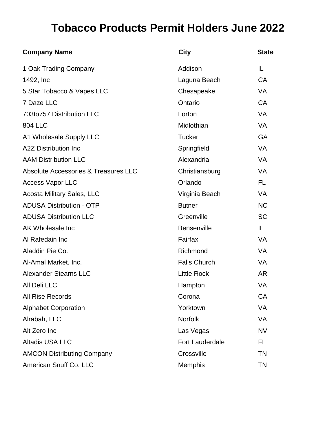## **Tobacco Products Permit Holders June 2022**

| <b>Company Name</b>                             | <b>City</b>            | <b>State</b> |
|-------------------------------------------------|------------------------|--------------|
| 1 Oak Trading Company                           | Addison                | IL           |
| 1492, Inc.                                      | Laguna Beach           | <b>CA</b>    |
| 5 Star Tobacco & Vapes LLC                      | Chesapeake             | <b>VA</b>    |
| 7 Daze LLC                                      | Ontario                | CA           |
| 703to757 Distribution LLC                       | Lorton                 | <b>VA</b>    |
| <b>804 LLC</b>                                  | Midlothian             | <b>VA</b>    |
| A1 Wholesale Supply LLC                         | <b>Tucker</b>          | <b>GA</b>    |
| <b>A2Z Distribution Inc</b>                     | Springfield            | <b>VA</b>    |
| <b>AAM Distribution LLC</b>                     | Alexandria             | <b>VA</b>    |
| <b>Absolute Accessories &amp; Treasures LLC</b> | Christiansburg         | <b>VA</b>    |
| <b>Access Vapor LLC</b>                         | Orlando                | FL.          |
| <b>Acosta Military Sales, LLC</b>               | Virginia Beach         | <b>VA</b>    |
| <b>ADUSA Distribution - OTP</b>                 | <b>Butner</b>          | <b>NC</b>    |
| <b>ADUSA Distribution LLC</b>                   | Greenville             | <b>SC</b>    |
| AK Wholesale Inc                                | <b>Bensenville</b>     | IL.          |
| Al Rafedain Inc                                 | Fairfax                | <b>VA</b>    |
| Aladdin Pie Co.                                 | Richmond               | <b>VA</b>    |
| Al-Amal Market, Inc.                            | <b>Falls Church</b>    | <b>VA</b>    |
| <b>Alexander Stearns LLC</b>                    | <b>Little Rock</b>     | <b>AR</b>    |
| All Deli LLC                                    | Hampton                | VA           |
| <b>All Rise Records</b>                         | Corona                 | CA           |
| <b>Alphabet Corporation</b>                     | Yorktown               | VA           |
| Alrabah, LLC                                    | Norfolk                | <b>VA</b>    |
| Alt Zero Inc                                    | Las Vegas              | <b>NV</b>    |
| <b>Altadis USA LLC</b>                          | <b>Fort Lauderdale</b> | FL           |
| <b>AMCON Distributing Company</b>               | Crossville             | <b>TN</b>    |
| American Snuff Co. LLC                          | Memphis                | <b>TN</b>    |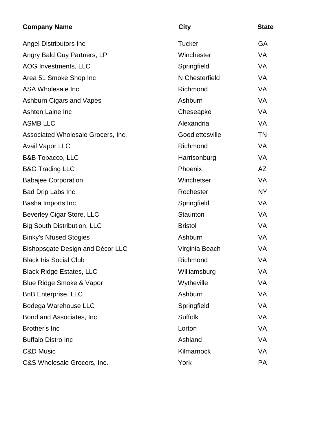| <b>Company Name</b>                | <b>City</b>     | <b>State</b> |
|------------------------------------|-----------------|--------------|
| Angel Distributors Inc             | <b>Tucker</b>   | <b>GA</b>    |
| Angry Bald Guy Partners, LP        | Winchester      | <b>VA</b>    |
| AOG Investments, LLC               | Springfield     | <b>VA</b>    |
| Area 51 Smoke Shop Inc             | N Chesterfield  | <b>VA</b>    |
| ASA Wholesale Inc                  | Richmond        | <b>VA</b>    |
| Ashburn Cigars and Vapes           | Ashburn         | <b>VA</b>    |
| Ashten Laine Inc                   | Cheseapke       | <b>VA</b>    |
| <b>ASMB LLC</b>                    | Alexandria      | VA           |
| Associated Wholesale Grocers, Inc. | Goodlettesville | <b>TN</b>    |
| <b>Avail Vapor LLC</b>             | Richmond        | VA           |
| <b>B&amp;B Tobacco, LLC</b>        | Harrisonburg    | <b>VA</b>    |
| <b>B&amp;G Trading LLC</b>         | Phoenix         | AZ           |
| <b>Babajee Corporation</b>         | Winchetser      | <b>VA</b>    |
| <b>Bad Drip Labs Inc</b>           | Rochester       | <b>NY</b>    |
| Basha Imports Inc                  | Springfield     | VA           |
| Beverley Cigar Store, LLC          | Staunton        | <b>VA</b>    |
| <b>Big South Distribution, LLC</b> | <b>Bristol</b>  | <b>VA</b>    |
| <b>Binky's Nfused Stogies</b>      | Ashburn         | <b>VA</b>    |
| Bishopsgate Design and Décor LLC   | Virginia Beach  | <b>VA</b>    |
| <b>Black Iris Social Club</b>      | Richmond        | VA           |
| <b>Black Ridge Estates, LLC</b>    | Williamsburg    | VA           |
| Blue Ridge Smoke & Vapor           | Wytheville      | VA           |
| <b>BnB Enterprise, LLC</b>         | Ashburn         | VA           |
| Bodega Warehouse LLC               | Springfield     | <b>VA</b>    |
| Bond and Associates, Inc.          | <b>Suffolk</b>  | VA           |
| <b>Brother's Inc</b>               | Lorton          | VA           |
| <b>Buffalo Distro Inc</b>          | Ashland         | VA           |
| <b>C&amp;D Music</b>               | Kilmarnock      | VA           |
| C&S Wholesale Grocers, Inc.        | York            | PA           |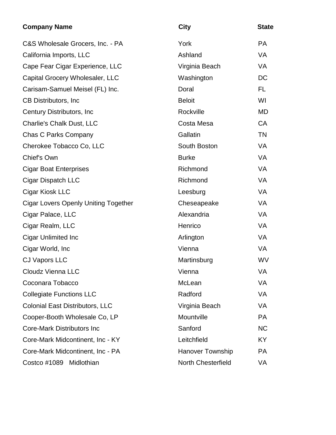| <b>Company Name</b>                         | <b>City</b>             | <b>State</b> |
|---------------------------------------------|-------------------------|--------------|
| C&S Wholesale Grocers, Inc. - PA            | York                    | <b>PA</b>    |
| California Imports, LLC                     | Ashland                 | <b>VA</b>    |
| Cape Fear Cigar Experience, LLC             | Virginia Beach          | VA           |
| Capital Grocery Wholesaler, LLC             | Washington              | <b>DC</b>    |
| Carisam-Samuel Meisel (FL) Inc.             | Doral                   | FL.          |
| CB Distributors, Inc                        | <b>Beloit</b>           | WI           |
| Century Distributors, Inc.                  | Rockville               | <b>MD</b>    |
| <b>Charlie's Chalk Dust, LLC</b>            | Costa Mesa              | <b>CA</b>    |
| <b>Chas C Parks Company</b>                 | Gallatin                | <b>TN</b>    |
| Cherokee Tobacco Co, LLC                    | South Boston            | <b>VA</b>    |
| Chief's Own                                 | <b>Burke</b>            | VA           |
| <b>Cigar Boat Enterprises</b>               | Richmond                | <b>VA</b>    |
| Cigar Dispatch LLC                          | Richmond                | <b>VA</b>    |
| Cigar Kiosk LLC                             | Leesburg                | <b>VA</b>    |
| <b>Cigar Lovers Openly Uniting Together</b> | Cheseapeake             | <b>VA</b>    |
| Cigar Palace, LLC                           | Alexandria              | <b>VA</b>    |
| Cigar Realm, LLC                            | Henrico                 | <b>VA</b>    |
| <b>Cigar Unlimited Inc</b>                  | Arlington               | <b>VA</b>    |
| Cigar World, Inc.                           | Vienna                  | <b>VA</b>    |
| <b>CJ Vapors LLC</b>                        | Martinsburg             | <b>WV</b>    |
| <b>Cloudz Vienna LLC</b>                    | Vienna                  | VA           |
| Coconara Tobacco                            | McLean                  | VA           |
| <b>Collegiate Functions LLC</b>             | Radford                 | VA           |
| <b>Colonial East Distributors, LLC</b>      | Virginia Beach          | VA           |
| Cooper-Booth Wholesale Co, LP               | Mountville              | <b>PA</b>    |
| <b>Core-Mark Distributors Inc</b>           | Sanford                 | <b>NC</b>    |
| Core-Mark Midcontinent, Inc - KY            | Leitchfield             | KY.          |
| Core-Mark Midcontinent, Inc - PA            | <b>Hanover Township</b> | <b>PA</b>    |
| Costco #1089 Midlothian                     | North Chesterfield      | VA           |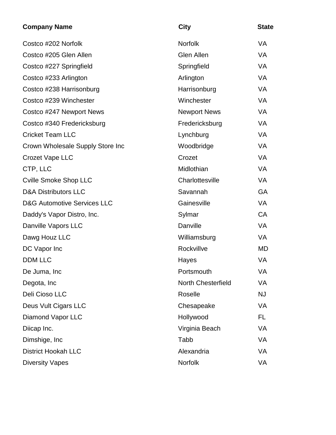| <b>Company Name</b>                    | <b>City</b>               | <b>State</b> |
|----------------------------------------|---------------------------|--------------|
| Costco #202 Norfolk                    | <b>Norfolk</b>            | VA           |
| Costco #205 Glen Allen                 | <b>Glen Allen</b>         | <b>VA</b>    |
| Costco #227 Springfield                | Springfield               | VA           |
| Costco #233 Arlington                  | Arlington                 | VA           |
| Costco #238 Harrisonburg               | Harrisonburg              | VA           |
| Costco #239 Winchester                 | Winchester                | VA           |
| Costco #247 Newport News               | <b>Newport News</b>       | VA           |
| Costco #340 Fredericksburg             | Fredericksburg            | VA           |
| <b>Cricket Team LLC</b>                | Lynchburg                 | VA           |
| Crown Wholesale Supply Store Inc       | Woodbridge                | VA           |
| <b>Crozet Vape LLC</b>                 | Crozet                    | VA           |
| CTP, LLC                               | Midlothian                | VA           |
| <b>Cville Smoke Shop LLC</b>           | Charlottesville           | VA           |
| <b>D&amp;A Distributors LLC</b>        | Savannah                  | <b>GA</b>    |
| <b>D&amp;G Automotive Services LLC</b> | Gainesville               | <b>VA</b>    |
| Daddy's Vapor Distro, Inc.             | Sylmar                    | <b>CA</b>    |
| Danville Vapors LLC                    | Danville                  | VA           |
| Dawg Houz LLC                          | Williamsburg              | VA           |
| DC Vapor Inc                           | Rockvillve                | <b>MD</b>    |
| <b>DDM LLC</b>                         | Hayes                     | <b>VA</b>    |
| De Juma, Inc                           | Portsmouth                | VA           |
| Degota, Inc                            | <b>North Chesterfield</b> | VA           |
| Deli Cioso LLC                         | Roselle                   | <b>NJ</b>    |
| Deus Vult Cigars LLC                   | Chesapeake                | VA           |
| <b>Diamond Vapor LLC</b>               | Hollywood                 | FL           |
| Diicap Inc.                            | Virginia Beach            | VA           |
| Dimshige, Inc.                         | Tabb                      | VA           |
| <b>District Hookah LLC</b>             | Alexandria                | VA           |
| <b>Diversity Vapes</b>                 | Norfolk                   | VA           |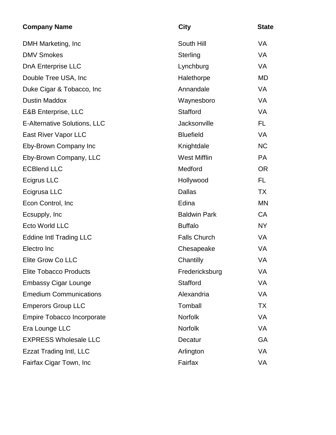| <b>Company Name</b>                 | <b>City</b>         | <b>State</b> |
|-------------------------------------|---------------------|--------------|
| DMH Marketing, Inc.                 | South Hill          | VA           |
| <b>DMV Smokes</b>                   | Sterling            | <b>VA</b>    |
| <b>DnA Enterprise LLC</b>           | Lynchburg           | <b>VA</b>    |
| Double Tree USA, Inc.               | Halethorpe          | <b>MD</b>    |
| Duke Cigar & Tobacco, Inc.          | Annandale           | <b>VA</b>    |
| <b>Dustin Maddox</b>                | Waynesboro          | <b>VA</b>    |
| <b>E&amp;B Enterprise, LLC</b>      | Stafford            | <b>VA</b>    |
| <b>E-Alternative Solutions, LLC</b> | Jacksonville        | FL.          |
| East River Vapor LLC                | <b>Bluefield</b>    | <b>VA</b>    |
| Eby-Brown Company Inc               | Knightdale          | <b>NC</b>    |
| Eby-Brown Company, LLC              | <b>West Mifflin</b> | <b>PA</b>    |
| <b>ECBlend LLC</b>                  | Medford             | <b>OR</b>    |
| Ecigrus LLC                         | Hollywood           | FL.          |
| Ecigrusa LLC                        | <b>Dallas</b>       | <b>TX</b>    |
| Econ Control, Inc.                  | Edina               | <b>MN</b>    |
| Ecsupply, Inc.                      | <b>Baldwin Park</b> | <b>CA</b>    |
| <b>Ecto World LLC</b>               | <b>Buffalo</b>      | <b>NY</b>    |
| <b>Eddine Intl Trading LLC</b>      | <b>Falls Church</b> | <b>VA</b>    |
| Electro Inc                         | Chesapeake          | <b>VA</b>    |
| Elite Grow Co LLC                   | Chantilly           | VA           |
| <b>Elite Tobacco Products</b>       | Fredericksburg      | VA           |
| <b>Embassy Cigar Lounge</b>         | Stafford            | <b>VA</b>    |
| <b>Emedium Communications</b>       | Alexandria          | <b>VA</b>    |
| <b>Emperors Group LLC</b>           | Tomball             | <b>TX</b>    |
| <b>Empire Tobacco Incorporate</b>   | <b>Norfolk</b>      | VA           |
| Era Lounge LLC                      | <b>Norfolk</b>      | <b>VA</b>    |
| <b>EXPRESS Wholesale LLC</b>        | Decatur             | <b>GA</b>    |
| <b>Ezzat Trading Intl, LLC</b>      | Arlington           | <b>VA</b>    |
| Fairfax Cigar Town, Inc             | Fairfax             | VA           |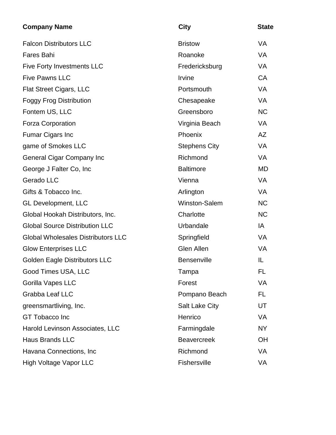| <b>Company Name</b>                       | <b>City</b>           | <b>State</b> |
|-------------------------------------------|-----------------------|--------------|
| <b>Falcon Distributors LLC</b>            | <b>Bristow</b>        | <b>VA</b>    |
| <b>Fares Bahi</b>                         | Roanoke               | <b>VA</b>    |
| <b>Five Forty Investments LLC</b>         | Fredericksburg        | <b>VA</b>    |
| <b>Five Pawns LLC</b>                     | Irvine                | CA           |
| <b>Flat Street Cigars, LLC</b>            | Portsmouth            | <b>VA</b>    |
| <b>Foggy Frog Distribution</b>            | Chesapeake            | <b>VA</b>    |
| Fontem US, LLC                            | Greensboro            | <b>NC</b>    |
| <b>Forza Corporation</b>                  | Virginia Beach        | <b>VA</b>    |
| <b>Fumar Cigars Inc</b>                   | Phoenix               | AZ           |
| game of Smokes LLC                        | <b>Stephens City</b>  | <b>VA</b>    |
| <b>General Cigar Company Inc</b>          | Richmond              | <b>VA</b>    |
| George J Falter Co, Inc.                  | <b>Baltimore</b>      | <b>MD</b>    |
| Gerado LLC                                | Vienna                | <b>VA</b>    |
| Gifts & Tobacco Inc.                      | Arlington             | <b>VA</b>    |
| <b>GL Development, LLC</b>                | Winston-Salem         | <b>NC</b>    |
| Global Hookah Distributors, Inc.          | Charlotte             | <b>NC</b>    |
| <b>Global Source Distribution LLC</b>     | Urbandale             | IA           |
| <b>Global Wholesales Distributors LLC</b> | Springfield           | <b>VA</b>    |
| <b>Glow Enterprises LLC</b>               | Glen Allen            | <b>VA</b>    |
| <b>Golden Eagle Distributors LLC</b>      | Bensenville           | IL           |
| Good Times USA, LLC                       | Tampa                 | <b>FL</b>    |
| Gorilla Vapes LLC                         | Forest                | VA           |
| Grabba Leaf LLC                           | Pompano Beach         | FL.          |
| greensmartliving, Inc.                    | <b>Salt Lake City</b> | UT           |
| <b>GT Tobacco Inc</b>                     | Henrico               | VA           |
| Harold Levinson Associates, LLC           | Farmingdale           | <b>NY</b>    |
| <b>Haus Brands LLC</b>                    | <b>Beavercreek</b>    | OH           |
| Havana Connections, Inc.                  | Richmond              | <b>VA</b>    |
| High Voltage Vapor LLC                    | Fishersville          | VA           |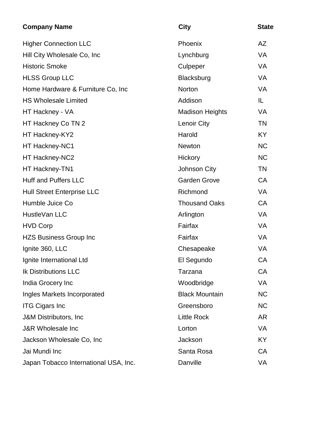| <b>Company Name</b>                   | <b>City</b>            | <b>State</b> |
|---------------------------------------|------------------------|--------------|
| <b>Higher Connection LLC</b>          | Phoenix                | AZ           |
| Hill City Wholesale Co, Inc.          | Lynchburg              | <b>VA</b>    |
| <b>Historic Smoke</b>                 | Culpeper               | <b>VA</b>    |
| <b>HLSS Group LLC</b>                 | Blacksburg             | <b>VA</b>    |
| Home Hardware & Furniture Co, Inc     | Norton                 | <b>VA</b>    |
| <b>HS Wholesale Limited</b>           | Addison                | IL           |
| HT Hackney - VA                       | <b>Madison Heights</b> | <b>VA</b>    |
| HT Hackney Co TN 2                    | <b>Lenoir City</b>     | <b>TN</b>    |
| HT Hackney-KY2                        | Harold                 | <b>KY</b>    |
| HT Hackney-NC1                        | Newton                 | <b>NC</b>    |
| HT Hackney-NC2                        | Hickory                | <b>NC</b>    |
| HT Hackney-TN1                        | Johnson City           | <b>TN</b>    |
| <b>Huff and Puffers LLC</b>           | <b>Garden Grove</b>    | <b>CA</b>    |
| <b>Hull Street Enterprise LLC</b>     | Richmond               | <b>VA</b>    |
| Humble Juice Co                       | <b>Thousand Oaks</b>   | <b>CA</b>    |
| HustleVan LLC                         | Arlington              | <b>VA</b>    |
| <b>HVD Corp</b>                       | Fairfax                | <b>VA</b>    |
| <b>HZS Business Group Inc</b>         | Fairfax                | <b>VA</b>    |
| Ignite 360, LLC                       | Chesapeake             | <b>VA</b>    |
| Ignite International Ltd              | El Segundo             | CA           |
| <b>Ik Distributions LLC</b>           | Tarzana                | CA           |
| India Grocery Inc                     | Woodbridge             | VA           |
| Ingles Markets Incorporated           | <b>Black Mountain</b>  | <b>NC</b>    |
| <b>ITG Cigars Inc.</b>                | Greensboro             | <b>NC</b>    |
| J&M Distributors, Inc.                | <b>Little Rock</b>     | <b>AR</b>    |
| <b>J&amp;R Wholesale Inc</b>          | Lorton                 | <b>VA</b>    |
| Jackson Wholesale Co, Inc             | Jackson                | KY           |
| Jai Mundi Inc                         | Santa Rosa             | CA           |
| Japan Tobacco International USA, Inc. | Danville               | VA           |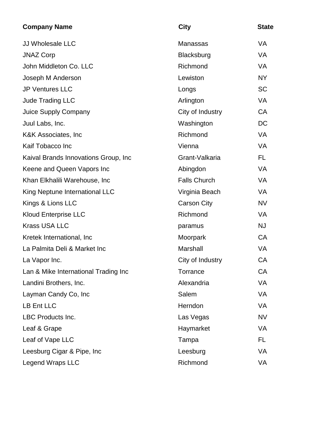| <b>Company Name</b>                  | <b>City</b>         | <b>State</b> |
|--------------------------------------|---------------------|--------------|
| <b>JJ Wholesale LLC</b>              | Manassas            | VA           |
| <b>JNAZ Corp</b>                     | <b>Blacksburg</b>   | <b>VA</b>    |
| John Middleton Co. LLC               | Richmond            | VA           |
| Joseph M Anderson                    | Lewiston            | <b>NY</b>    |
| <b>JP Ventures LLC</b>               | Longs               | <b>SC</b>    |
| <b>Jude Trading LLC</b>              | Arlington           | VA           |
| <b>Juice Supply Company</b>          | City of Industry    | CA           |
| Juul Labs, Inc.                      | Washington          | DC           |
| K&K Associates, Inc.                 | Richmond            | VA           |
| Kaif Tobacco Inc                     | Vienna              | <b>VA</b>    |
| Kaival Brands Innovations Group, Inc | Grant-Valkaria      | FL           |
| Keene and Queen Vapors Inc           | Abingdon            | VA           |
| Khan Elkhalili Warehouse, Inc.       | <b>Falls Church</b> | VA           |
| King Neptune International LLC       | Virginia Beach      | VA           |
| Kings & Lions LLC                    | <b>Carson City</b>  | <b>NV</b>    |
| <b>Kloud Enterprise LLC</b>          | Richmond            | VA           |
| <b>Krass USA LLC</b>                 | paramus             | <b>NJ</b>    |
| Kretek International, Inc.           | Moorpark            | CA           |
| La Palmita Deli & Market Inc         | Marshall            | VA           |
| La Vapor Inc.                        | City of Industry    | CA           |
| Lan & Mike International Trading Inc | Torrance            | CA           |
| Landini Brothers, Inc.               | Alexandria          | VA           |
| Layman Candy Co, Inc                 | Salem               | VA           |
| LB Ent LLC                           | Herndon             | VA           |
| LBC Products Inc.                    | Las Vegas           | <b>NV</b>    |
| Leaf & Grape                         | Haymarket           | VA           |
| Leaf of Vape LLC                     | Tampa               | FL           |
| Leesburg Cigar & Pipe, Inc.          | Leesburg            | VA           |
| Legend Wraps LLC                     | Richmond            | VA           |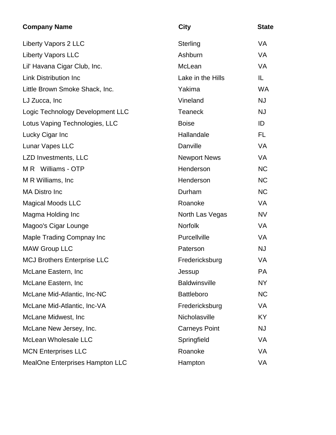| <b>Company Name</b>                    | <b>City</b>          | <b>State</b> |
|----------------------------------------|----------------------|--------------|
| <b>Liberty Vapors 2 LLC</b>            | Sterling             | <b>VA</b>    |
| <b>Liberty Vapors LLC</b>              | Ashburn              | <b>VA</b>    |
| Lil' Havana Cigar Club, Inc.           | McLean               | <b>VA</b>    |
| <b>Link Distribution Inc.</b>          | Lake in the Hills    | IL           |
| Little Brown Smoke Shack, Inc.         | Yakima               | <b>WA</b>    |
| LJ Zucca, Inc                          | Vineland             | <b>NJ</b>    |
| Logic Technology Development LLC       | <b>Teaneck</b>       | <b>NJ</b>    |
| Lotus Vaping Technologies, LLC         | <b>Boise</b>         | ID           |
| Lucky Cigar Inc                        | Hallandale           | <b>FL</b>    |
| Lunar Vapes LLC                        | Danville             | VA           |
| LZD Investments, LLC                   | <b>Newport News</b>  | <b>VA</b>    |
| MR Williams - OTP                      | Henderson            | <b>NC</b>    |
| M R Williams, Inc.                     | Henderson            | <b>NC</b>    |
| <b>MA Distro Inc</b>                   | Durham               | <b>NC</b>    |
| <b>Magical Moods LLC</b>               | Roanoke              | <b>VA</b>    |
| Magma Holding Inc                      | North Las Vegas      | <b>NV</b>    |
| Magoo's Cigar Lounge                   | <b>Norfolk</b>       | <b>VA</b>    |
| Maple Trading Compnay Inc              | Purcellville         | <b>VA</b>    |
| <b>MAW Group LLC</b>                   | Paterson             | <b>NJ</b>    |
| <b>MCJ Brothers Enterprise LLC</b>     | Fredericksburg       | VA           |
| McLane Eastern, Inc                    | Jessup               | PA           |
| McLane Eastern, Inc.                   | <b>Baldwinsville</b> | <b>NY</b>    |
| McLane Mid-Atlantic, Inc-NC            | <b>Battleboro</b>    | <b>NC</b>    |
| McLane Mid-Atlantic, Inc-VA            | Fredericksburg       | VA           |
| McLane Midwest, Inc                    | Nicholasville        | KY           |
| McLane New Jersey, Inc.                | <b>Carneys Point</b> | <b>NJ</b>    |
| McLean Wholesale LLC                   | Springfield          | <b>VA</b>    |
| <b>MCN Enterprises LLC</b>             | Roanoke              | VA           |
| <b>MealOne Enterprises Hampton LLC</b> | Hampton              | VA           |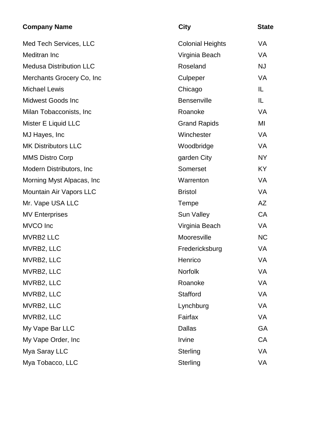| <b>Company Name</b>            | <b>City</b>             | <b>State</b> |
|--------------------------------|-------------------------|--------------|
| Med Tech Services, LLC         | <b>Colonial Heights</b> | VA           |
| Meditran Inc                   | Virginia Beach          | VA           |
| <b>Medusa Distribution LLC</b> | Roseland                | <b>NJ</b>    |
| Merchants Grocery Co, Inc      | Culpeper                | <b>VA</b>    |
| <b>Michael Lewis</b>           | Chicago                 | IL           |
| <b>Midwest Goods Inc</b>       | <b>Bensenville</b>      | IL           |
| Milan Tobacconists, Inc.       | Roanoke                 | VA           |
| Mister E Liquid LLC            | <b>Grand Rapids</b>     | MI           |
| MJ Hayes, Inc.                 | Winchester              | <b>VA</b>    |
| <b>MK Distributors LLC</b>     | Woodbridge              | VA           |
| <b>MMS Distro Corp</b>         | garden City             | <b>NY</b>    |
| Modern Distributors, Inc.      | Somerset                | <b>KY</b>    |
| Morning Myst Alpacas, Inc.     | Warrenton               | <b>VA</b>    |
| Mountain Air Vapors LLC        | <b>Bristol</b>          | <b>VA</b>    |
| Mr. Vape USA LLC               | Tempe                   | AZ           |
| <b>MV Enterprises</b>          | <b>Sun Valley</b>       | <b>CA</b>    |
| <b>MVCO</b> Inc                | Virginia Beach          | <b>VA</b>    |
| <b>MVRB2 LLC</b>               | Mooresville             | <b>NC</b>    |
| MVRB2, LLC                     | Fredericksburg          | VA           |
| MVRB2, LLC                     | Henrico                 | <b>VA</b>    |
| MVRB2, LLC                     | Norfolk                 | VA           |
| MVRB2, LLC                     | Roanoke                 | VA           |
| MVRB2, LLC                     | Stafford                | VA           |
| MVRB2, LLC                     | Lynchburg               | VA           |
| MVRB2, LLC                     | Fairfax                 | VA           |
| My Vape Bar LLC                | <b>Dallas</b>           | GA           |
| My Vape Order, Inc             | Irvine                  | CA           |
| Mya Saray LLC                  | Sterling                | VA           |
| Mya Tobacco, LLC               | <b>Sterling</b>         | VA           |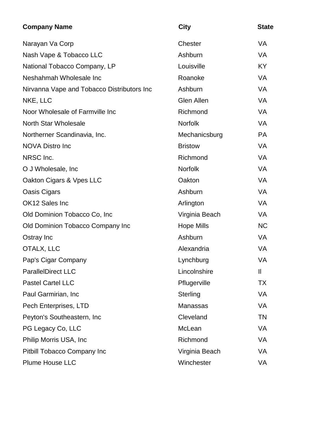| <b>Company Name</b>                        | <b>City</b>       | <b>State</b> |
|--------------------------------------------|-------------------|--------------|
| Narayan Va Corp                            | Chester           | <b>VA</b>    |
| Nash Vape & Tobacco LLC                    | Ashburn           | <b>VA</b>    |
| National Tobacco Company, LP               | Louisville        | <b>KY</b>    |
| Neshahmah Wholesale Inc                    | Roanoke           | <b>VA</b>    |
| Nirvanna Vape and Tobacco Distributors Inc | Ashburn           | <b>VA</b>    |
| NKE, LLC                                   | Glen Allen        | <b>VA</b>    |
| Noor Wholesale of Farmville Inc            | Richmond          | <b>VA</b>    |
| <b>North Star Wholesale</b>                | <b>Norfolk</b>    | <b>VA</b>    |
| Northerner Scandinavia, Inc.               | Mechanicsburg     | <b>PA</b>    |
| <b>NOVA Distro Inc</b>                     | <b>Bristow</b>    | <b>VA</b>    |
| NRSC Inc.                                  | Richmond          | VA           |
| O J Wholesale, Inc.                        | Norfolk           | <b>VA</b>    |
| Oakton Cigars & Vpes LLC                   | Oakton            | VA           |
| Oasis Cigars                               | Ashburn           | <b>VA</b>    |
| OK12 Sales Inc                             | Arlington         | VA           |
| Old Dominion Tobacco Co, Inc               | Virginia Beach    | <b>VA</b>    |
| Old Dominion Tobacco Company Inc           | <b>Hope Mills</b> | <b>NC</b>    |
| Ostray Inc                                 | Ashburn           | VA           |
| OTALX, LLC                                 | Alexandria        | <b>VA</b>    |
| Pap's Cigar Company                        | Lynchburg         | VA           |
| <b>ParallelDirect LLC</b>                  | Lincolnshire      | $\mathbf{I}$ |
| Pastel Cartel LLC                          | Pflugerville      | <b>TX</b>    |
| Paul Garmirian, Inc.                       | Sterling          | VA           |
| Pech Enterprises, LTD                      | Manassas          | <b>VA</b>    |
| Peyton's Southeastern, Inc.                | Cleveland         | <b>TN</b>    |
| PG Legacy Co, LLC                          | McLean            | VA           |
| Philip Morris USA, Inc.                    | Richmond          | <b>VA</b>    |
| Pitbill Tobacco Company Inc                | Virginia Beach    | <b>VA</b>    |
| Plume House LLC                            | Winchester        | VA           |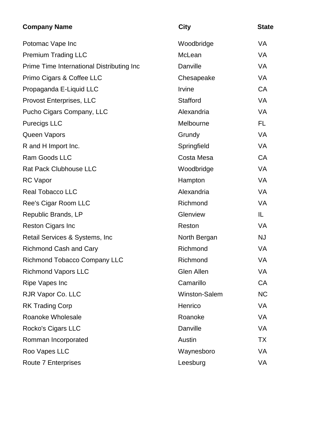| <b>Company Name</b>                       | <b>City</b>       | <b>State</b> |
|-------------------------------------------|-------------------|--------------|
| Potomac Vape Inc                          | Woodbridge        | <b>VA</b>    |
| <b>Premium Trading LLC</b>                | McLean            | <b>VA</b>    |
| Prime Time International Distributing Inc | Danville          | <b>VA</b>    |
| Primo Cigars & Coffee LLC                 | Chesapeake        | <b>VA</b>    |
| Propaganda E-Liquid LLC                   | Irvine            | <b>CA</b>    |
| Provost Enterprises, LLC                  | Stafford          | <b>VA</b>    |
| Pucho Cigars Company, LLC                 | Alexandria        | <b>VA</b>    |
| <b>Purecigs LLC</b>                       | Melbourne         | <b>FL</b>    |
| Queen Vapors                              | Grundy            | <b>VA</b>    |
| R and H Import Inc.                       | Springfield       | <b>VA</b>    |
| <b>Ram Goods LLC</b>                      | Costa Mesa        | <b>CA</b>    |
| <b>Rat Pack Clubhouse LLC</b>             | Woodbridge        | <b>VA</b>    |
| <b>RC</b> Vapor                           | Hampton           | <b>VA</b>    |
| <b>Real Tobacco LLC</b>                   | Alexandria        | <b>VA</b>    |
| Ree's Cigar Room LLC                      | Richmond          | <b>VA</b>    |
| Republic Brands, LP                       | Glenview          | IL           |
| <b>Reston Cigars Inc</b>                  | Reston            | <b>VA</b>    |
| Retail Services & Systems, Inc            | North Bergan      | <b>NJ</b>    |
| <b>Richmond Cash and Cary</b>             | Richmond          | <b>VA</b>    |
| <b>Richmond Tobacco Company LLC</b>       | Richmond          | VA           |
| <b>Richmond Vapors LLC</b>                | <b>Glen Allen</b> | VA           |
| Ripe Vapes Inc                            | Camarillo         | CA           |
| RJR Vapor Co. LLC                         | Winston-Salem     | <b>NC</b>    |
| <b>RK Trading Corp</b>                    | Henrico           | <b>VA</b>    |
| Roanoke Wholesale                         | Roanoke           | VA           |
| Rocko's Cigars LLC                        | Danville          | <b>VA</b>    |
| Romman Incorporated                       | Austin            | <b>TX</b>    |
| Roo Vapes LLC                             | Waynesboro        | VA           |
| Route 7 Enterprises                       | Leesburg          | VA           |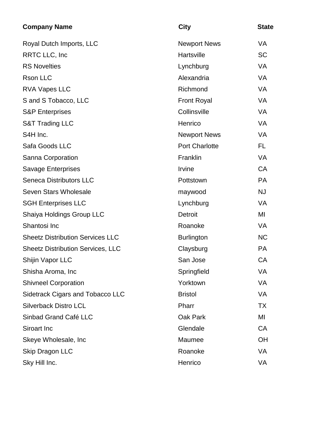| <b>Company Name</b>                      | <b>City</b>           | <b>State</b> |
|------------------------------------------|-----------------------|--------------|
| Royal Dutch Imports, LLC                 | <b>Newport News</b>   | VA           |
| <b>RRTC LLC, Inc.</b>                    | Hartsville            | <b>SC</b>    |
| <b>RS Novelties</b>                      | Lynchburg             | <b>VA</b>    |
| Rson LLC                                 | Alexandria            | <b>VA</b>    |
| <b>RVA Vapes LLC</b>                     | Richmond              | <b>VA</b>    |
| S and S Tobacco, LLC                     | <b>Front Royal</b>    | <b>VA</b>    |
| <b>S&amp;P Enterprises</b>               | Collinsville          | <b>VA</b>    |
| <b>S&amp;T Trading LLC</b>               | Henrico               | <b>VA</b>    |
| S4H Inc.                                 | <b>Newport News</b>   | <b>VA</b>    |
| Safa Goods LLC                           | <b>Port Charlotte</b> | FL.          |
| Sanna Corporation                        | Franklin              | <b>VA</b>    |
| <b>Savage Enterprises</b>                | Irvine                | <b>CA</b>    |
| <b>Seneca Distributors LLC</b>           | Pottstown             | <b>PA</b>    |
| Seven Stars Wholesale                    | maywood               | <b>NJ</b>    |
| <b>SGH Enterprises LLC</b>               | Lynchburg             | <b>VA</b>    |
| Shaiya Holdings Group LLC                | Detroit               | MI           |
| Shantosi Inc                             | Roanoke               | <b>VA</b>    |
| <b>Sheetz Distribution Services LLC</b>  | Burlington            | <b>NC</b>    |
| <b>Sheetz Distribution Services, LLC</b> | Claysburg             | <b>PA</b>    |
| Shijin Vapor LLC                         | San Jose              | CA           |
| Shisha Aroma, Inc                        | Springfield           | VA           |
| <b>Shivneel Corporation</b>              | Yorktown              | <b>VA</b>    |
| <b>Sidetrack Cigars and Tobacco LLC</b>  | <b>Bristol</b>        | <b>VA</b>    |
| <b>Silverback Distro LCL</b>             | Pharr                 | <b>TX</b>    |
| Sinbad Grand Café LLC                    | <b>Oak Park</b>       | MI           |
| Siroart Inc                              | Glendale              | <b>CA</b>    |
| Skeye Wholesale, Inc                     | Maumee                | OH           |
| <b>Skip Dragon LLC</b>                   | Roanoke               | VA           |
| Sky Hill Inc.                            | Henrico               | VA           |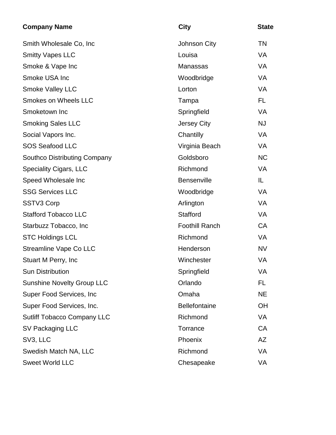| <b>Company Name</b>                 | <b>City</b>           | <b>State</b> |
|-------------------------------------|-----------------------|--------------|
| Smith Wholesale Co, Inc             | Johnson City          | <b>TN</b>    |
| <b>Smitty Vapes LLC</b>             | Louisa                | <b>VA</b>    |
| Smoke & Vape Inc                    | Manassas              | <b>VA</b>    |
| Smoke USA Inc                       | Woodbridge            | <b>VA</b>    |
| Smoke Valley LLC                    | Lorton                | <b>VA</b>    |
| <b>Smokes on Wheels LLC</b>         | Tampa                 | <b>FL</b>    |
| Smoketown Inc                       | Springfield           | <b>VA</b>    |
| <b>Smoking Sales LLC</b>            | Jersey City           | <b>NJ</b>    |
| Social Vapors Inc.                  | Chantilly             | <b>VA</b>    |
| <b>SOS Seafood LLC</b>              | Virginia Beach        | <b>VA</b>    |
| <b>Southco Distributing Company</b> | Goldsboro             | <b>NC</b>    |
| <b>Speciality Cigars, LLC</b>       | Richmond              | <b>VA</b>    |
| Speed Wholesale Inc                 | Bensenville           | IL           |
| <b>SSG Services LLC</b>             | Woodbridge            | <b>VA</b>    |
| SSTV3 Corp                          | Arlington             | <b>VA</b>    |
| <b>Stafford Tobacco LLC</b>         | Stafford              | <b>VA</b>    |
| Starbuzz Tobacco, Inc               | <b>Foothill Ranch</b> | <b>CA</b>    |
| <b>STC Holdings LCL</b>             | Richmond              | <b>VA</b>    |
| <b>Streamline Vape Co LLC</b>       | Henderson             | <b>NV</b>    |
| Stuart M Perry, Inc                 | Winchester            | VA           |
| <b>Sun Distribution</b>             | Springfield           | VA           |
| <b>Sunshine Novelty Group LLC</b>   | Orlando               | FL.          |
| Super Food Services, Inc.           | Omaha                 | <b>NE</b>    |
| Super Food Services, Inc.           | <b>Bellefontaine</b>  | <b>OH</b>    |
| <b>Sutliff Tobacco Company LLC</b>  | Richmond              | VA           |
| SV Packaging LLC                    | Torrance              | CA           |
| SV3, LLC                            | Phoenix               | <b>AZ</b>    |
| Swedish Match NA, LLC               | Richmond              | <b>VA</b>    |
| <b>Sweet World LLC</b>              | Chesapeake            | <b>VA</b>    |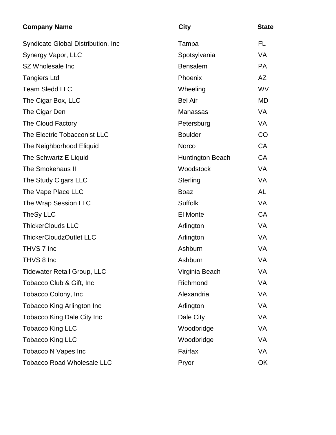| <b>Company Name</b>                 | <b>City</b>      | <b>State</b> |
|-------------------------------------|------------------|--------------|
| Syndicate Global Distribution, Inc. | Tampa            | FL           |
| Synergy Vapor, LLC                  | Spotsylvania     | <b>VA</b>    |
| SZ Wholesale Inc                    | <b>Bensalem</b>  | <b>PA</b>    |
| <b>Tangiers Ltd</b>                 | Phoenix          | AZ           |
| <b>Team Sledd LLC</b>               | Wheeling         | <b>WV</b>    |
| The Cigar Box, LLC                  | <b>Bel Air</b>   | <b>MD</b>    |
| The Cigar Den                       | Manassas         | <b>VA</b>    |
| The Cloud Factory                   | Petersburg       | VA           |
| The Electric Tobacconist LLC        | <b>Boulder</b>   | CO           |
| The Neighborhood Eliquid            | <b>Norco</b>     | <b>CA</b>    |
| The Schwartz E Liquid               | Huntington Beach | <b>CA</b>    |
| The Smokehaus II                    | Woodstock        | VA           |
| The Study Cigars LLC                | Sterling         | <b>VA</b>    |
| The Vape Place LLC                  | <b>Boaz</b>      | <b>AL</b>    |
| The Wrap Session LLC                | <b>Suffolk</b>   | <b>VA</b>    |
| TheSy LLC                           | <b>El Monte</b>  | <b>CA</b>    |
| <b>ThickerClouds LLC</b>            | Arlington        | <b>VA</b>    |
| <b>ThickerCloudzOutlet LLC</b>      | Arlington        | <b>VA</b>    |
| THVS 7 Inc                          | Ashburn          | <b>VA</b>    |
| THVS 8 Inc                          | Ashburn          | VA           |
| <b>Tidewater Retail Group, LLC</b>  | Virginia Beach   | VA           |
| Tobacco Club & Gift, Inc            | Richmond         | VA           |
| Tobacco Colony, Inc                 | Alexandria       | <b>VA</b>    |
| <b>Tobacco King Arlington Inc</b>   | Arlington        | <b>VA</b>    |
| Tobacco King Dale City Inc          | Dale City        | VA           |
| <b>Tobacco King LLC</b>             | Woodbridge       | <b>VA</b>    |
| <b>Tobacco King LLC</b>             | Woodbridge       | <b>VA</b>    |
| Tobacco N Vapes Inc                 | Fairfax          | <b>VA</b>    |
| <b>Tobacco Road Wholesale LLC</b>   | Pryor            | OK           |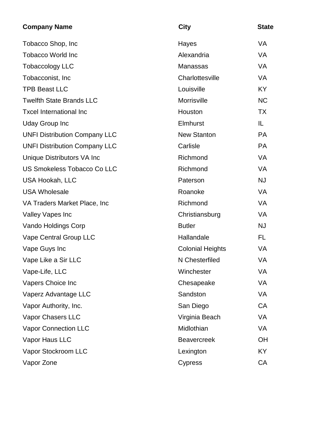| <b>Company Name</b>                  | <b>City</b>             | <b>State</b> |
|--------------------------------------|-------------------------|--------------|
| Tobacco Shop, Inc                    | Hayes                   | <b>VA</b>    |
| <b>Tobacco World Inc</b>             | Alexandria              | <b>VA</b>    |
| <b>Tobaccology LLC</b>               | Manassas                | <b>VA</b>    |
| Tobacconist, Inc.                    | Charlottesville         | VA           |
| <b>TPB Beast LLC</b>                 | Louisville              | <b>KY</b>    |
| <b>Twelfth State Brands LLC</b>      | Morrisville             | <b>NC</b>    |
| <b>Txcel International Inc</b>       | Houston                 | <b>TX</b>    |
| <b>Uday Group Inc</b>                | Elmhurst                | IL           |
| <b>UNFI Distribution Company LLC</b> | <b>New Stanton</b>      | <b>PA</b>    |
| <b>UNFI Distribution Company LLC</b> | Carlisle                | <b>PA</b>    |
| Unique Distributors VA Inc           | Richmond                | <b>VA</b>    |
| <b>US Smokeless Tobacco Co LLC</b>   | Richmond                | <b>VA</b>    |
| <b>USA Hookah, LLC</b>               | Paterson                | <b>NJ</b>    |
| <b>USA Wholesale</b>                 | Roanoke                 | <b>VA</b>    |
| VA Traders Market Place, Inc.        | Richmond                | <b>VA</b>    |
| <b>Valley Vapes Inc</b>              | Christiansburg          | <b>VA</b>    |
| Vando Holdings Corp                  | <b>Butler</b>           | <b>NJ</b>    |
| Vape Central Group LLC               | Hallandale              | FL           |
| Vape Guys Inc                        | <b>Colonial Heights</b> | VA           |
| Vape Like a Sir LLC                  | N Chesterfiled          | VA           |
| Vape-Life, LLC                       | Winchester              | VA           |
| Vapers Choice Inc                    | Chesapeake              | <b>VA</b>    |
| Vaperz Advantage LLC                 | Sandston                | VA           |
| Vapor Authority, Inc.                | San Diego               | CA           |
| Vapor Chasers LLC                    | Virginia Beach          | VA           |
| <b>Vapor Connection LLC</b>          | Midlothian              | <b>VA</b>    |
| Vapor Haus LLC                       | <b>Beavercreek</b>      | OH           |
| Vapor Stockroom LLC                  | Lexington               | <b>KY</b>    |
| Vapor Zone                           | <b>Cypress</b>          | CA           |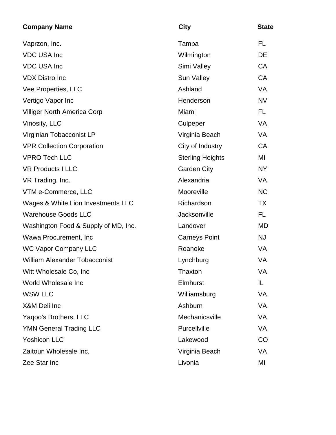| <b>Company Name</b>                  | <b>City</b>             | <b>State</b> |
|--------------------------------------|-------------------------|--------------|
| Vaprzon, Inc.                        | Tampa                   | FL.          |
| <b>VDC USA Inc</b>                   | Wilmington              | DE           |
| <b>VDC USA Inc</b>                   | Simi Valley             | <b>CA</b>    |
| <b>VDX Distro Inc</b>                | Sun Valley              | <b>CA</b>    |
| Vee Properties, LLC                  | Ashland                 | <b>VA</b>    |
| Vertigo Vapor Inc                    | Henderson               | <b>NV</b>    |
| <b>Villiger North America Corp</b>   | Miami                   | FL           |
| Vinosity, LLC                        | Culpeper                | VA           |
| Virginian Tobacconist LP             | Virginia Beach          | <b>VA</b>    |
| <b>VPR Collection Corporation</b>    | City of Industry        | <b>CA</b>    |
| <b>VPRO Tech LLC</b>                 | <b>Sterling Heights</b> | MI           |
| <b>VR Products I LLC</b>             | <b>Garden City</b>      | <b>NY</b>    |
| VR Trading, Inc.                     | Alexandria              | <b>VA</b>    |
| VTM e-Commerce, LLC                  | Mooreville              | <b>NC</b>    |
| Wages & White Lion Investments LLC   | Richardson              | <b>TX</b>    |
| <b>Warehouse Goods LLC</b>           | Jacksonville            | FL.          |
| Washington Food & Supply of MD, Inc. | Landover                | MD           |
| Wawa Procurement, Inc.               | <b>Carneys Point</b>    | <b>NJ</b>    |
| <b>WC Vapor Company LLC</b>          | Roanoke                 | <b>VA</b>    |
| <b>William Alexander Tobacconist</b> | Lynchburg               | VA           |
| Witt Wholesale Co, Inc.              | <b>Thaxton</b>          | VA           |
| World Wholesale Inc                  | Elmhurst                | IL.          |
| <b>WSW LLC</b>                       | Williamsburg            | VA           |
| X&M Deli Inc                         | Ashburn                 | VA           |
| Yaqoo's Brothers, LLC                | Mechanicsville          | VA           |
| <b>YMN General Trading LLC</b>       | Purcellville            | VA           |
| <b>Yoshicon LLC</b>                  | Lakewood                | CO           |
| Zaitoun Wholesale Inc.               | Virginia Beach          | VA           |
| Zee Star Inc                         | Livonia                 | MI           |